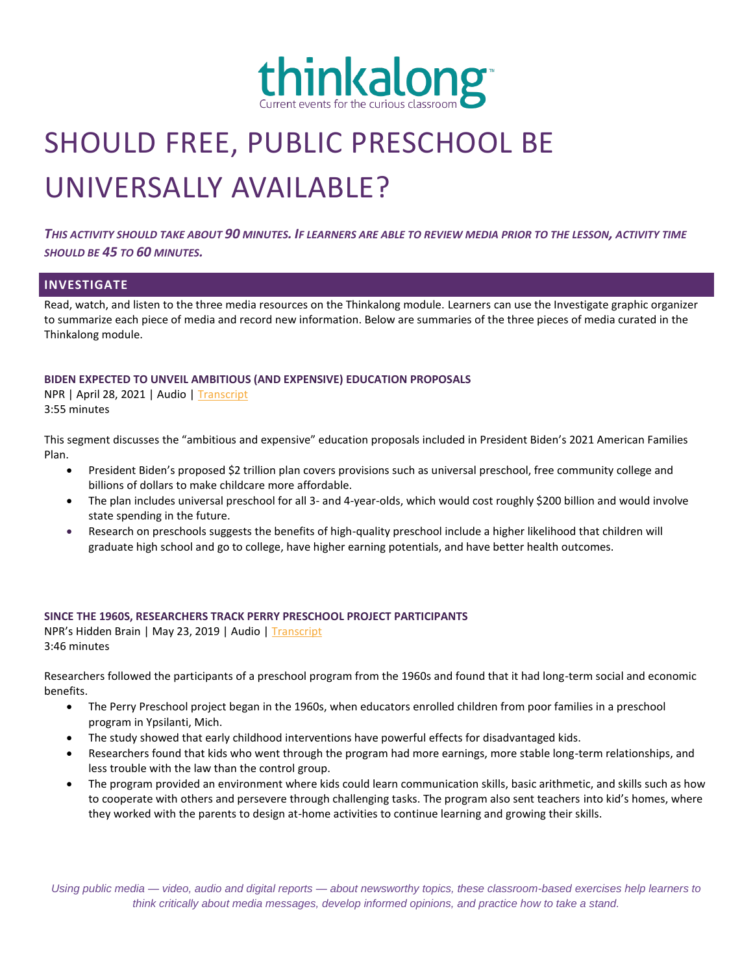

# SHOULD FREE, PUBLIC PRESCHOOL BE UNIVERSALLY AVAILABLE?

*THIS ACTIVITY SHOULD TAKE ABOUT 90 MINUTES. IF LEARNERS ARE ABLE TO REVIEW MEDIA PRIOR TO THE LESSON, ACTIVITY TIME SHOULD BE 45 TO 60 MINUTES.*

### **INVESTIGATE**

Read, watch, and listen to the three media resources on the Thinkalong module. Learners can use the Investigate graphic organizer to summarize each piece of media and record new information. Below are summaries of the three pieces of media curated in the Thinkalong module.

#### **BIDEN EXPECTED TO UNVEIL AMBITIOUS (AND EXPENSIVE) EDUCATION PROPOSALS**

NPR | April 28, 2021 | Audio | [Transcript](https://www.npr.org/transcripts/991691352) 3:55 minutes

This segment discusses the "ambitious and expensive" education proposals included in President Biden's 2021 American Families Plan.

- President Biden's proposed \$2 trillion plan covers provisions such as universal preschool, free community college and billions of dollars to make childcare more affordable.
- The plan includes universal preschool for all 3- and 4-year-olds, which would cost roughly \$200 billion and would involve state spending in the future.
- Research on preschools suggests the benefits of high-quality preschool include a higher likelihood that children will graduate high school and go to college, have higher earning potentials, and have better health outcomes.

#### **SINCE THE 1960S, RESEARCHERS TRACK PERRY PRESCHOOL PROJECT PARTICIPANTS**

NPR's Hidden Brain | May 23, 2019 | Audio | [Transcript](https://www.npr.org/transcripts/726035330) 3:46 minutes

Researchers followed the participants of a preschool program from the 1960s and found that it had long-term social and economic benefits.

- The Perry Preschool project began in the 1960s, when educators enrolled children from poor families in a preschool program in Ypsilanti, Mich.
- The study showed that early childhood interventions have powerful effects for disadvantaged kids.
- Researchers found that kids who went through the program had more earnings, more stable long-term relationships, and less trouble with the law than the control group.
- The program provided an environment where kids could learn communication skills, basic arithmetic, and skills such as how to cooperate with others and persevere through challenging tasks. The program also sent teachers into kid's homes, where they worked with the parents to design at-home activities to continue learning and growing their skills.

*Using public media — video, audio and digital reports — about newsworthy topics, these classroom-based exercises help learners to think critically about media messages, develop informed opinions, and practice how to take a stand.*